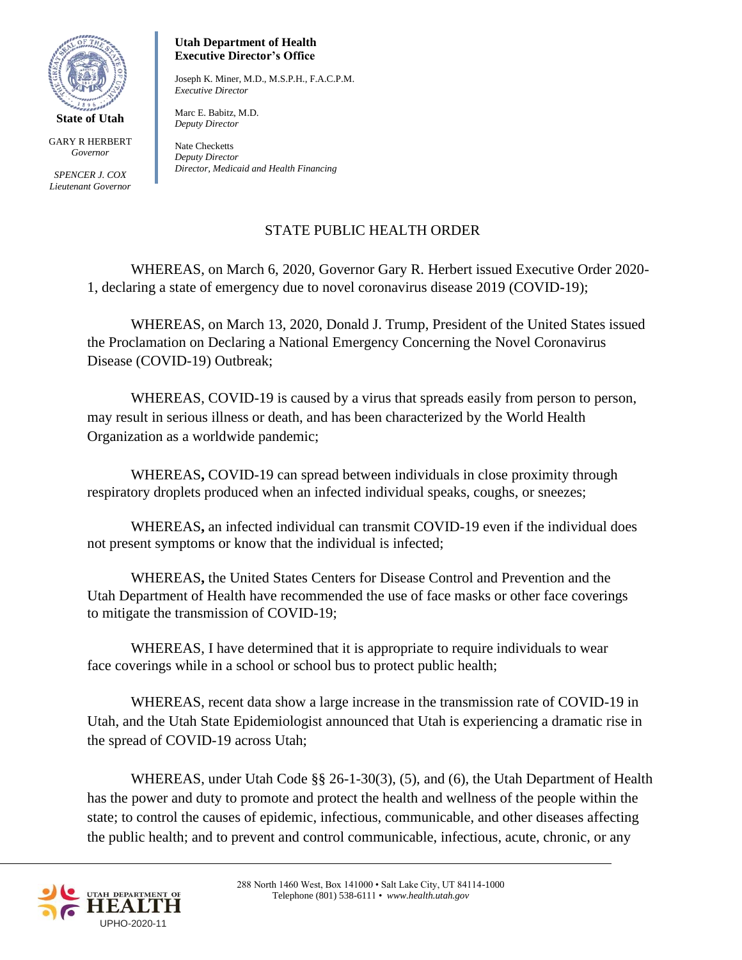

GARY R HERBERT *Governor*

*SPENCER J. COX Lieutenant Governor*

## **Utah Department of Health Executive Director's Office**

Joseph K. Miner, M.D., M.S.P.H., F.A.C.P.M. *Executive Director* 

Marc E. Babitz, M.D. *Deputy Director*

Nate Checketts *Deputy Director Director, Medicaid and Health Financing*

## STATE PUBLIC HEALTH ORDER

WHEREAS, on March 6, 2020, Governor Gary R. Herbert issued Executive Order 2020- 1, declaring a state of emergency due to novel coronavirus disease 2019 (COVID-19);

WHEREAS, on March 13, 2020, Donald J. Trump, President of the United States issued the Proclamation on Declaring a National Emergency Concerning the Novel Coronavirus Disease (COVID-19) Outbreak;

WHEREAS, COVID-19 is caused by a virus that spreads easily from person to person, may result in serious illness or death, and has been characterized by the World Health Organization as a worldwide pandemic;

WHEREAS**,** COVID-19 can spread between individuals in close proximity through respiratory droplets produced when an infected individual speaks, coughs, or sneezes;

WHEREAS**,** an infected individual can transmit COVID-19 even if the individual does not present symptoms or know that the individual is infected;

WHEREAS**,** the United States Centers for Disease Control and Prevention and the Utah Department of Health have recommended the use of face masks or other face coverings to mitigate the transmission of COVID-19;

WHEREAS, I have determined that it is appropriate to require individuals to wear face coverings while in a school or school bus to protect public health;

WHEREAS, recent data show a large increase in the transmission rate of COVID-19 in Utah, and the Utah State Epidemiologist announced that Utah is experiencing a dramatic rise in the spread of COVID-19 across Utah;

WHEREAS, under Utah Code §§ 26-1-30(3), (5), and (6), the Utah Department of Health has the power and duty to promote and protect the health and wellness of the people within the state; to control the causes of epidemic, infectious, communicable, and other diseases affecting the public health; and to prevent and control communicable, infectious, acute, chronic, or any

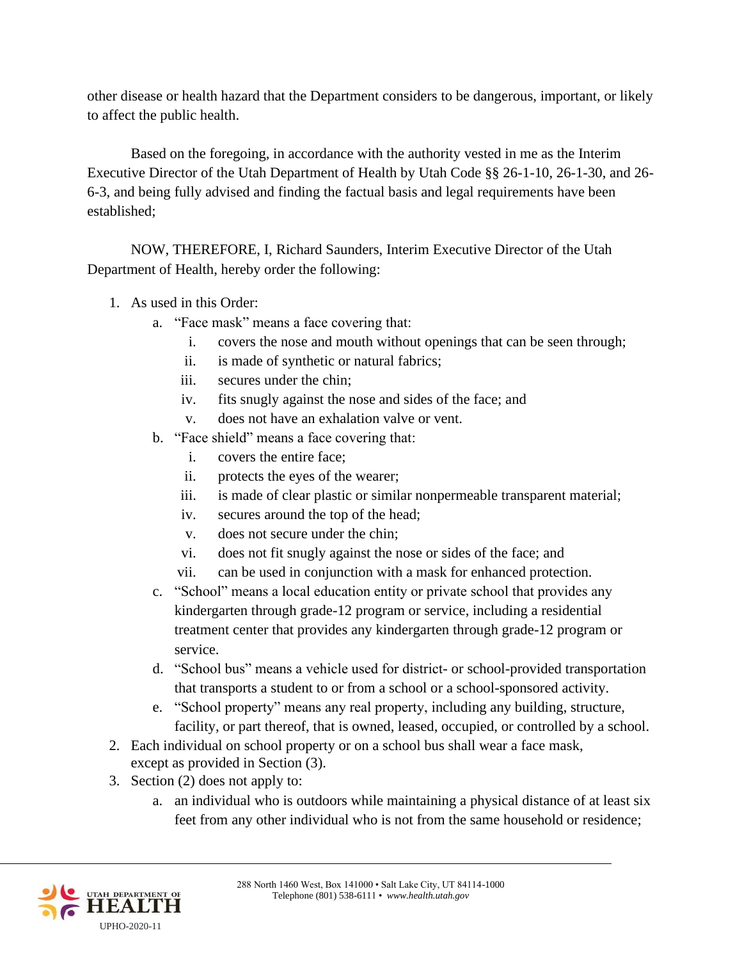other disease or health hazard that the Department considers to be dangerous, important, or likely to affect the public health.

Based on the foregoing, in accordance with the authority vested in me as the Interim Executive Director of the Utah Department of Health by Utah Code §§ 26-1-10, 26-1-30, and 26- 6-3, and being fully advised and finding the factual basis and legal requirements have been established;

NOW, THEREFORE, I, Richard Saunders, Interim Executive Director of the Utah Department of Health, hereby order the following:

- 1. As used in this Order:
	- a. "Face mask" means a face covering that:
		- i. covers the nose and mouth without openings that can be seen through;
		- ii. is made of synthetic or natural fabrics;
		- iii. secures under the chin;
		- iv. fits snugly against the nose and sides of the face; and
		- v. does not have an exhalation valve or vent.
	- b. "Face shield" means a face covering that:
		- i. covers the entire face;
		- ii. protects the eyes of the wearer;
		- iii. is made of clear plastic or similar nonpermeable transparent material;
		- iv. secures around the top of the head;
		- v. does not secure under the chin;
		- vi. does not fit snugly against the nose or sides of the face; and
		- vii. can be used in conjunction with a mask for enhanced protection.
	- c. "School" means a local education entity or private school that provides any kindergarten through grade-12 program or service, including a residential treatment center that provides any kindergarten through grade-12 program or service.
	- d. "School bus" means a vehicle used for district- or school-provided transportation that transports a student to or from a school or a school-sponsored activity.
	- e. "School property" means any real property, including any building, structure, facility, or part thereof, that is owned, leased, occupied, or controlled by a school.
- 2. Each individual on school property or on a school bus shall wear a face mask, except as provided in Section (3).
- 3. Section (2) does not apply to:
	- a. an individual who is outdoors while maintaining a physical distance of at least six feet from any other individual who is not from the same household or residence;

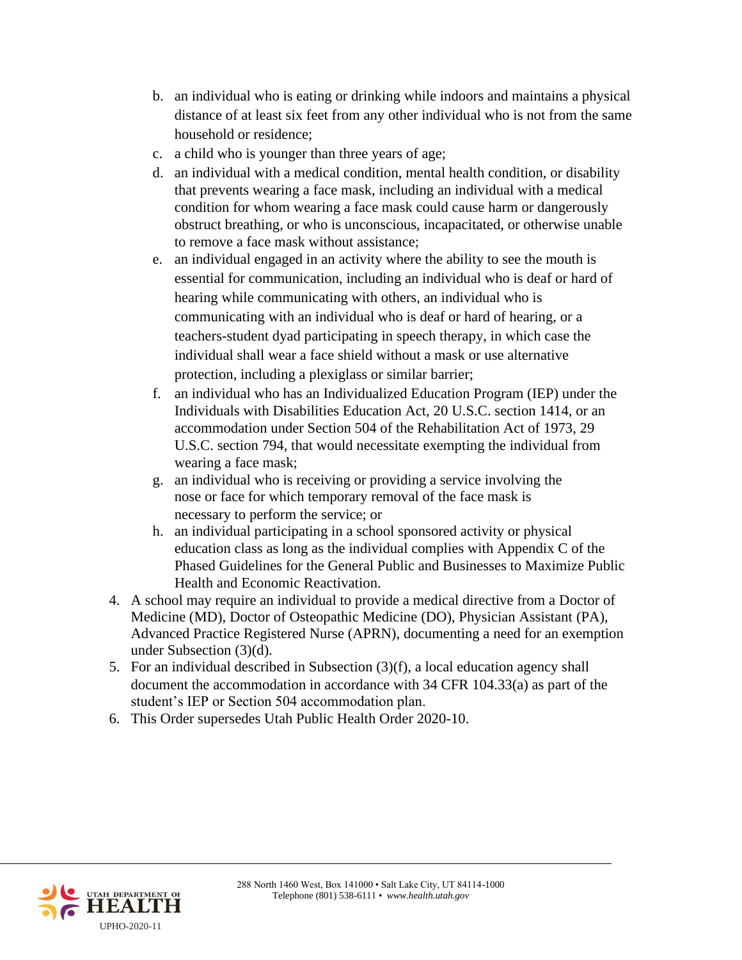- b. an individual who is eating or drinking while indoors and maintains a physical distance of at least six feet from any other individual who is not from the same household or residence;
- c. a child who is younger than three years of age;
- d. an individual with a medical condition, mental health condition, or disability that prevents wearing a face mask, including an individual with a medical condition for whom wearing a face mask could cause harm or dangerously obstruct breathing, or who is unconscious, incapacitated, or otherwise unable to remove a face mask without assistance;
- e. an individual engaged in an activity where the ability to see the mouth is essential for communication, including an individual who is deaf or hard of hearing while communicating with others, an individual who is communicating with an individual who is deaf or hard of hearing, or a teachers-student dyad participating in speech therapy, in which case the individual shall wear a face shield without a mask or use alternative protection, including a plexiglass or similar barrier;
- f. an individual who has an Individualized Education Program (IEP) under the Individuals with Disabilities Education Act, 20 U.S.C. section 1414, or an accommodation under Section 504 of the Rehabilitation Act of 1973, 29 U.S.C. section 794, that would necessitate exempting the individual from wearing a face mask;
- g. an individual who is receiving or providing a service involving the nose or face for which temporary removal of the face mask is necessary to perform the service; or
- h. an individual participating in a school sponsored activity or physical education class as long as the individual complies with Appendix C of the Phased Guidelines for the General Public and Businesses to Maximize Public Health and Economic Reactivation.
- 4. A school may require an individual to provide a medical directive from a Doctor of Medicine (MD), Doctor of Osteopathic Medicine (DO), Physician Assistant (PA), Advanced Practice Registered Nurse (APRN), documenting a need for an exemption under Subsection (3)(d).
- 5. For an individual described in Subsection (3)(f), a local education agency shall document the accommodation in accordance with 34 CFR 104.33(a) as part of the student's IEP or Section 504 accommodation plan.
- 6. This Order supersedes Utah Public Health Order 2020-10.